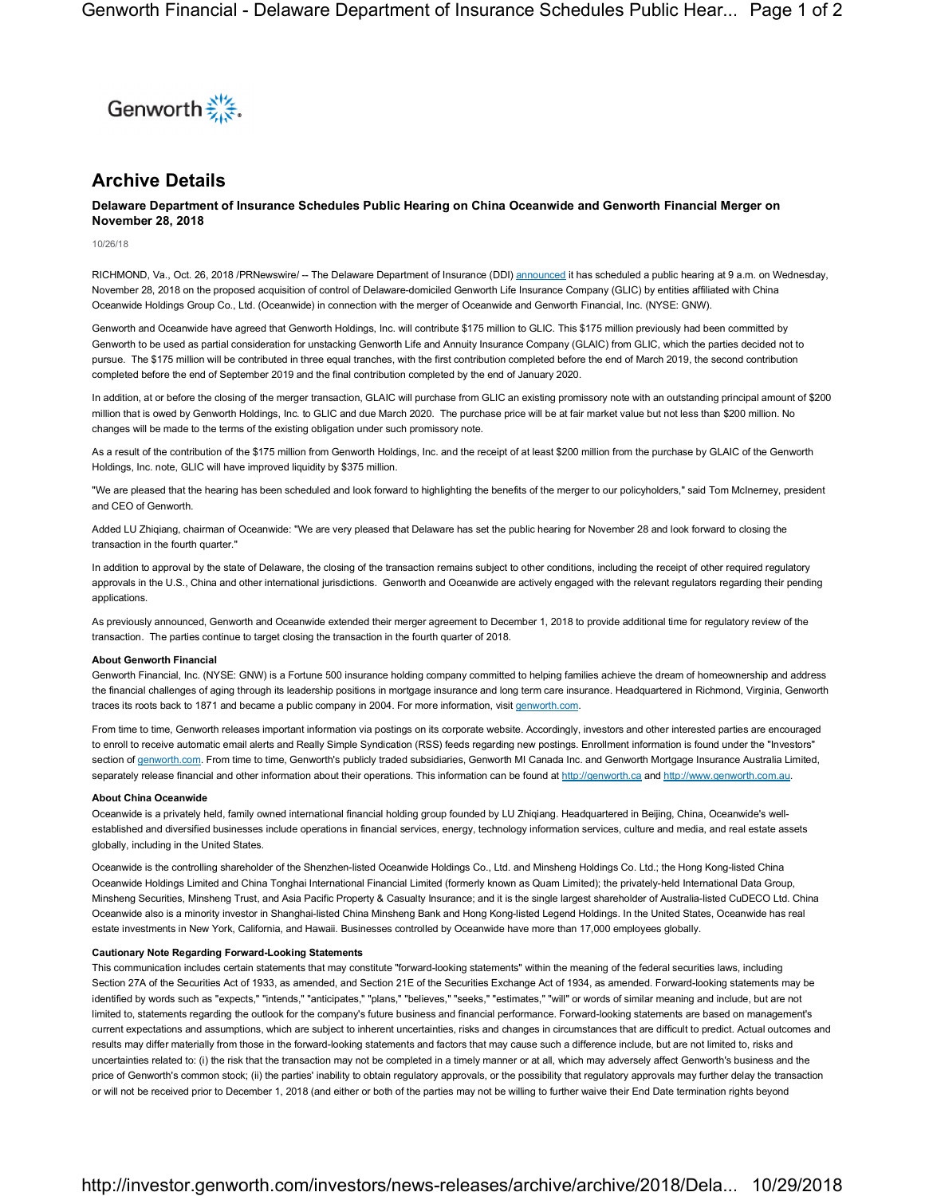

# **Archive Details**

## **Delaware Department of Insurance Schedules Public Hearing on China Oceanwide and Genworth Financial Merger on November 28, 2018**

10/26/18

RICHMOND, Va., Oct. 26, 2018 /PRNewswire/ -- The Delaware Department of Insurance (DDI) announced it has scheduled a public hearing at 9 a.m. on Wednesday, November 28, 2018 on the proposed acquisition of control of Delaware-domiciled Genworth Life Insurance Company (GLIC) by entities affiliated with China Oceanwide Holdings Group Co., Ltd. (Oceanwide) in connection with the merger of Oceanwide and Genworth Financial, Inc. (NYSE: GNW).

Genworth and Oceanwide have agreed that Genworth Holdings, Inc. will contribute \$175 million to GLIC. This \$175 million previously had been committed by Genworth to be used as partial consideration for unstacking Genworth Life and Annuity Insurance Company (GLAIC) from GLIC, which the parties decided not to pursue. The \$175 million will be contributed in three equal tranches, with the first contribution completed before the end of March 2019, the second contribution completed before the end of September 2019 and the final contribution completed by the end of January 2020.

In addition, at or before the closing of the merger transaction, GLAIC will purchase from GLIC an existing promissory note with an outstanding principal amount of \$200 million that is owed by Genworth Holdings, Inc. to GLIC and due March 2020. The purchase price will be at fair market value but not less than \$200 million. No changes will be made to the terms of the existing obligation under such promissory note.

As a result of the contribution of the \$175 million from Genworth Holdings, Inc. and the receipt of at least \$200 million from the purchase by GLAIC of the Genworth Holdings, Inc. note, GLIC will have improved liquidity by \$375 million.

"We are pleased that the hearing has been scheduled and look forward to highlighting the benefits of the merger to our policyholders," said Tom McInerney, president and CEO of Genworth.

Added LU Zhiqiang, chairman of Oceanwide: "We are very pleased that Delaware has set the public hearing for November 28 and look forward to closing the transaction in the fourth quarter."

In addition to approval by the state of Delaware, the closing of the transaction remains subject to other conditions, including the receipt of other required regulatory approvals in the U.S., China and other international jurisdictions. Genworth and Oceanwide are actively engaged with the relevant regulators regarding their pending applications.

As previously announced, Genworth and Oceanwide extended their merger agreement to December 1, 2018 to provide additional time for regulatory review of the transaction. The parties continue to target closing the transaction in the fourth quarter of 2018.

#### **About Genworth Financial**

Genworth Financial, Inc. (NYSE: GNW) is a Fortune 500 insurance holding company committed to helping families achieve the dream of homeownership and address the financial challenges of aging through its leadership positions in mortgage insurance and long term care insurance. Headquartered in Richmond, Virginia, Genworth traces its roots back to 1871 and became a public company in 2004. For more information, visit genworth.com.

From time to time, Genworth releases important information via postings on its corporate website. Accordingly, investors and other interested parties are encouraged to enroll to receive automatic email alerts and Really Simple Syndication (RSS) feeds regarding new postings. Enrollment information is found under the "Investors" section of genworth.com. From time to time, Genworth's publicly traded subsidiaries, Genworth MI Canada Inc. and Genworth Mortgage Insurance Australia Limited, separately release financial and other information about their operations. This information can be found at http://genworth.ca and http://www.genworth.com.au.

### **About China Oceanwide**

Oceanwide is a privately held, family owned international financial holding group founded by LU Zhiqiang. Headquartered in Beijing, China, Oceanwide's wellestablished and diversified businesses include operations in financial services, energy, technology information services, culture and media, and real estate assets globally, including in the United States.

Oceanwide is the controlling shareholder of the Shenzhen-listed Oceanwide Holdings Co., Ltd. and Minsheng Holdings Co. Ltd.; the Hong Kong-listed China Oceanwide Holdings Limited and China Tonghai International Financial Limited (formerly known as Quam Limited); the privately-held International Data Group, Minsheng Securities, Minsheng Trust, and Asia Pacific Property & Casualty Insurance; and it is the single largest shareholder of Australia-listed CuDECO Ltd. China Oceanwide also is a minority investor in Shanghai-listed China Minsheng Bank and Hong Kong-listed Legend Holdings. In the United States, Oceanwide has real estate investments in New York, California, and Hawaii. Businesses controlled by Oceanwide have more than 17,000 employees globally.

#### **Cautionary Note Regarding Forward-Looking Statements**

This communication includes certain statements that may constitute "forward-looking statements" within the meaning of the federal securities laws, including Section 27A of the Securities Act of 1933, as amended, and Section 21E of the Securities Exchange Act of 1934, as amended. Forward-looking statements may be identified by words such as "expects," "intends," "anticipates," "plans," "believes," "seeks," "estimates," "will" or words of similar meaning and include, but are not limited to, statements regarding the outlook for the company's future business and financial performance. Forward-looking statements are based on management's current expectations and assumptions, which are subject to inherent uncertainties, risks and changes in circumstances that are difficult to predict. Actual outcomes and results may differ materially from those in the forward-looking statements and factors that may cause such a difference include, but are not limited to, risks and uncertainties related to: (i) the risk that the transaction may not be completed in a timely manner or at all, which may adversely affect Genworth's business and the price of Genworth's common stock; (ii) the parties' inability to obtain regulatory approvals, or the possibility that regulatory approvals may further delay the transaction or will not be received prior to December 1, 2018 (and either or both of the parties may not be willing to further waive their End Date termination rights beyond